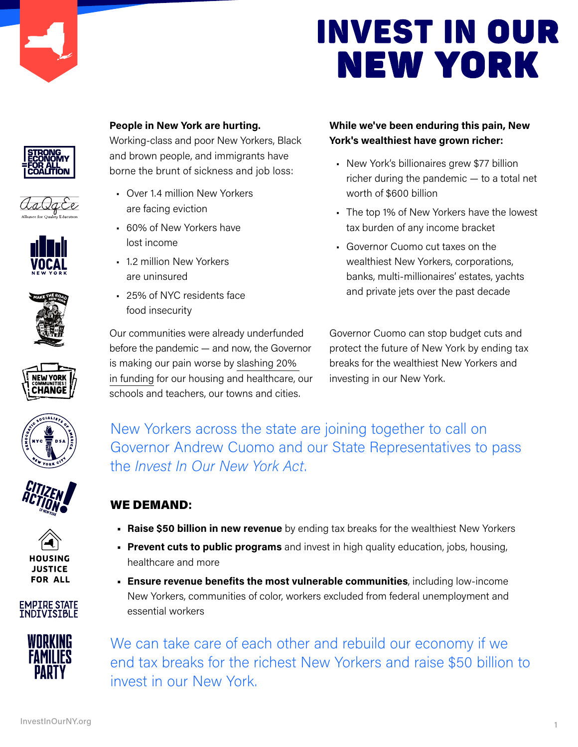



















#### People in New York are hurting.

Working-class and poor New Yorkers, Black and brown people, and immigrants have borne the brunt of sickness and job loss:

- Over 1.4 million New Yorkers are facing eviction
- 60% of New Yorkers have lost income
- 1.2 million New Yorkers are uninsured
- 25% of NYC residents face food insecurity

Our communities were already underfunded before the pandemic — and now, the Governor is making our pain worse by slashing 20% in funding for our housing and healthcare, our schools and teachers, our towns and cities.

#### While we've been enduring this pain, New York's wealthiest have grown richer:

- New York's billionaires grew \$77 billion richer during the pandemic — to a total net worth of \$600 billion
- The top 1% of New Yorkers have the lowest tax burden of any income bracket
- Governor Cuomo cut taxes on the wealthiest New Yorkers, corporations, banks, multi-millionaires' estates, yachts and private jets over the past decade

Governor Cuomo can stop budget cuts and protect the future of New York by ending tax breaks for the wealthiest New Yorkers and investing in our New York.

New Yorkers across the state are joining together to call on Governor Andrew Cuomo and our State Representatives to pass the Invest In Our New York Act.

#### WE DEMAND:

- Raise \$50 billion in new revenue by ending tax breaks for the wealthiest New Yorkers
- **Prevent cuts to public programs** and invest in high quality education, jobs, housing, healthcare and more
- Ensure revenue benefits the most vulnerable communities, including low-income New Yorkers, communities of color, workers excluded from federal unemployment and essential workers

*Join our campaign to demand Governor Cuomo Save our State and*  end tax breaks for the richest New Yorkers and raise \$50 billion to *Campaign Manager Rebecca Bailin at rebecca@revenuecampaign.org* invest in our New York.We can take care of each other and rebuild our economy if we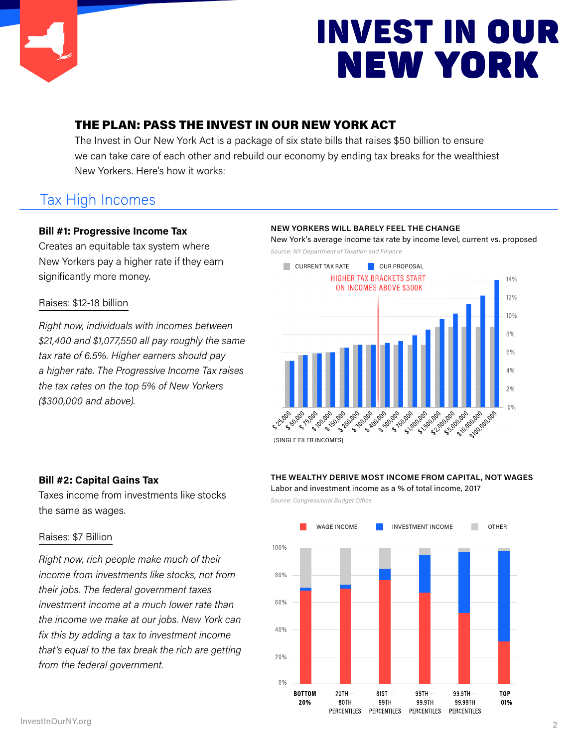

#### THE PLAN: PASS THE INVEST IN OUR NEW YORK ACT

The Invest in Our New York Act is a package of six state bills that raises \$50 billion to ensure we can take care of each other and rebuild our economy by ending tax breaks for the wealthiest New Yorkers. Here's how it works:

## **Tax High Incomes**

#### Bill #1: Progressive Income Tax

Creates an equitable tax system where New Yorkers pay a higher rate if they earn significantly more money.

#### Raises: \$12-18 billion

Right now, individuals with incomes between \$21,400 and \$1,077,550 all pay roughly the same tax rate of 6.5%. Higher earners should pay a higher rate. The Progressive Income Tax raises the tax rates on the top 5% of New Yorkers (\$300,000 and above).

#### NEW YORKERS WILL BARELY FEEL THE CHANGE

New York's average income tax rate by income level, current vs. proposed Source: NY Department of Taxation and Finance



#### Bill #2: Capital Gains Tax

Taxes income from investments like stocks the same as wages.

#### Raises: \$7 Billion

Right now, rich people make much of their income from investments like stocks, not from their jobs. The federal government taxes investment income at a much lower rate than the income we make at our jobs. New York can fix this by adding a tax to investment income that's equal to the tax break the rich are getting from the federal government.

#### THE WEALTHY DERIVE MOST INCOME FROM CAPITAL, NOT WAGES

Labor and investment income as a % of total income, 2017

Source: Congressional Budget Office

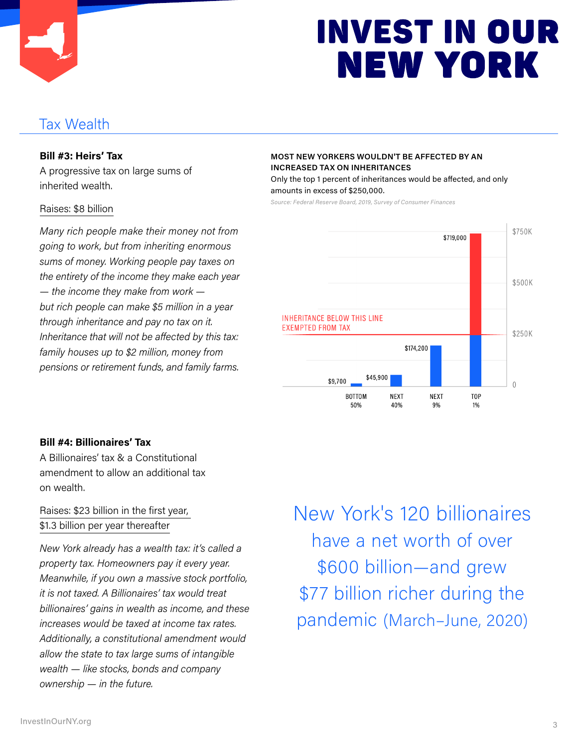

### **Tax Wealth**

#### Bill #3: Heirs' Tax

A progressive tax on large sums of inherited wealth.

#### Raises: \$8 billion

Many rich people make their money not from going to work, but from inheriting enormous sums of money. Working people pay taxes on the entirety of the income they make each year — the income they make from work but rich people can make \$5 million in a year through inheritance and pay no tax on it. Inheritance that will not be affected by this tax: family houses up to \$2 million, money from pensions or retirement funds, and family farms.

#### MOST NEW YORKERS WOULDN'T BE AFFECTED BY AN INCREASED TAX ON INHERITANCES

Only the top 1 percent of inheritances would be affected, and only amounts in excess of \$250,000.

Source: Federal Reserve Board, 2019, Survey of Consumer Finances



#### Bill #4: Billionaires' Tax

A Billionaires' tax & a Constitutional amendment to allow an additional tax on wealth.

#### Raises: \$23 billion in the first year, \$1.3 billion per year thereafter

New York already has a wealth tax: it's called a property tax. Homeowners pay it every year. Meanwhile, if you own a massive stock portfolio, it is not taxed. A Billionaires' tax would treat billionaires' gains in wealth as income, and these increases would be taxed at income tax rates. Additionally, a constitutional amendment would allow the state to tax large sums of intangible wealth — like stocks, bonds and company ownership — in the future.

New York's 120 billionaires have a net worth of over \$600 billion—and grew \$77 billion richer during the pandemic (March–June, 2020)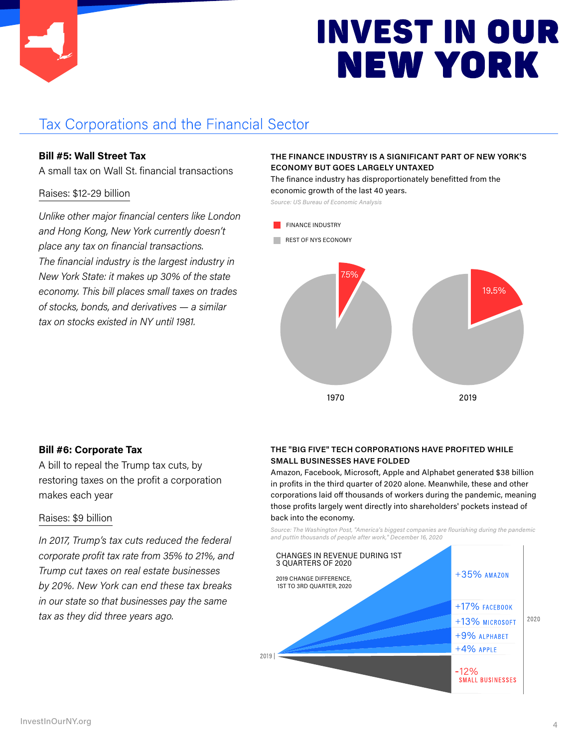

## **Tax Corporations and the Financial Sector**

#### Bill #5: Wall Street Tax

A small tax on Wall St. financial transactions

#### Raises: \$12-29 billion

Unlike other major financial centers like London and Hong Kong, New York currently doesn't place any tax on financial transactions. The financial industry is the largest industry in New York State: it makes up 30% of the state economy. This bill places small taxes on trades of stocks, bonds, and derivatives — a similar tax on stocks existed in NY until 1981.

#### THE FINANCE INDUSTRY IS A SIGNIFICANT PART OF NEW YORK'S ECONOMY BUT GOES LARGELY UNTAXED

The finance industry has disproportionately benefitted from the economic growth of the last 40 years.

Source: US Bureau of Economic Analysis

- FINANCE INDUSTRY
- REST OF NYS ECONOMY



#### Bill #6: Corporate Tax

A bill to repeal the Trump tax cuts, by restoring taxes on the profit a corporation makes each year

#### Raises: \$9 billion

In 2017, Trump's tax cuts reduced the federal corporate profit tax rate from 35% to 21%, and Trump cut taxes on real estate businesses by 20%. New York can end these tax breaks in our state so that businesses pay the same tax as they did three years ago.

#### THE "BIG FIVE" TECH CORPORATIONS HAVE PROFITED WHILE SMALL BUSINESSES HAVE FOLDED

Amazon, Facebook, Microsoft, Apple and Alphabet generated \$38 billion in profits in the third quarter of 2020 alone. Meanwhile, these and other corporations laid off thousands of workers during the pandemic, meaning those profits largely went directly into shareholders' pockets instead of back into the economy.

Source: The Washington Post, "America's biggest companies are flourishing during the pandemic and puttin thousands of people after work," December 16, 2020